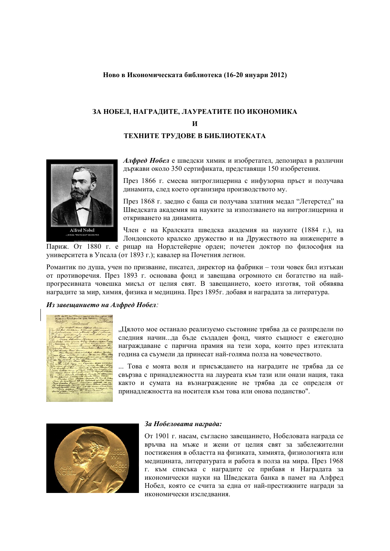#### **Ново в Икономическата библиотека (16-20 януари 2012)**

# **ЗА НОБЕЛ, НАГРАДИТЕ, ЛАУРЕАТИТЕ ПО ИКОНОМИКА И ТЕХНИТЕ ТРУДОВЕ В БИБЛИОТЕКАТА**



*Алфред Нобел* е шведски химик и изобретател, депозирал в различни държави около 350 сертификата, представящи 150 изобретения.

През 1866 г. смесва нитроглицерина с инфузорна пръст и получава динамита, след което организира производството му.

През 1868 г. заедно с баща си получава златния медал "Летерстед" на Шведската академия на науките за използването на нитроглицерина и откриването на динамита.

Член е на Кралската шведска академия на науките (1884 г.), на Лондонското кралско дружество и на Дружеството на инженерите в Париж. От 1880 г. е рицар на Нордстейерне орден; почетен доктор по философия на

университета в Упсала (от 1893 г.); кавалер на Почетния легион.

Романтик по душа, учен по призвание, писател, директор на фабрики – този човек бил изтъкан от противоречия. През 1893 г. основава фонд и завещава огромното си богатство на найпрогресивната човешка мисъл от целия свят. В завещанието, което изготвя, той обявява наградите за мир, химия, физика и медицина. През 1895г. добавя и наградата за литература.

#### *Из завещанието на Алфред Нобел:*

"Цялото мое останало реализуемо състояние трябва да се разпредели по следния начин...да бъде създаден фонд, чиято същност е ежегодно награждаване с парична прамия на тези хора, които през изтеклата година са съумели да принесат най-голяма полза на човечеството.

... Това е моята воля и присъждането на наградите не трябва да се свързва с принадлежността на лауреата към тази или онази нация, така както и сумата на възнаграждение не трябва да се определя от принадлежността на носителя към това или онова поданство".



#### *За Нобеловата награда:*

От 1901 г. насам, съгласно завещанието, Нобеловата награда се връчва на мъже и жени от целия свят за забележителни постижения в областта на физиката, химията, физиологията или медицината, литературата и работа в полза на мира. През 1968 г. към списъка с наградите се прибавя и Наградата за икономически науки на Шведската банка в памет на Алфред Нобел, която се счита за една от най-престижните награди за икономически изследвания.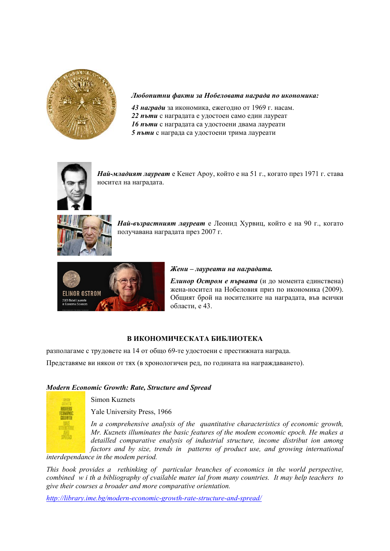

## *Любопитни факти за Нобеловата награда по икономика:*

*награди* за икономика, ежегодно от 1969 г. насам. *пъти* с наградата е удостоен само един лауреат *пъти* с наградата са удостоени двама лауреати *пъти* с награда са удостоени трима лауреати



*Най-младият лауреат* е Кенет Ароу, който е на 51 г., когато през 1971 г. става носител на наградата.



*Най-възрастният лауреат* е Леонид Хурвиц, който е на 90 г., когато получавана наградата през 2007 г.



#### *Жени – лауреати на наградата.*

*Елинор Остром е първата* (и до момента единствена) жена-носител на Нобеловия приз по икономика (2009). Общият брой на носителките на наградата, във всички области, е 43.

## **В ИКОНОМИЧЕСКАТА БИБЛИОТЕКА**

разполагаме с трудовете на 14 от общо 69-те удостоени с престижната награда.

Представяме ви някои от тях (в хронологичен ред, по годината на награждаването).

## *Modern Economic Growth: Rate, Structure and Spread*



Simon Kuznets

Yale University Press, 1966

*In a comprehensive analysis of the quantitative characteristics of economic growth, Mr. Kuznets illuminates the basic features of the modem economic epoch. He makes a detailled comparative enalysis of industrial structure, income distribut ion among factors and by size, trends in patterns of product use, and growing international* 

*interdependance in the modem period.* 

*This book provides a rethinking of particular branches of economics in the world perspective, combined w i th a bibliography of cvailable mater ial from many countries. It may help teachers to give their courses a broader and more comparative orientation.* 

*http://library.ime.bg/modern-economic-growth-rate-structure-and-spread/*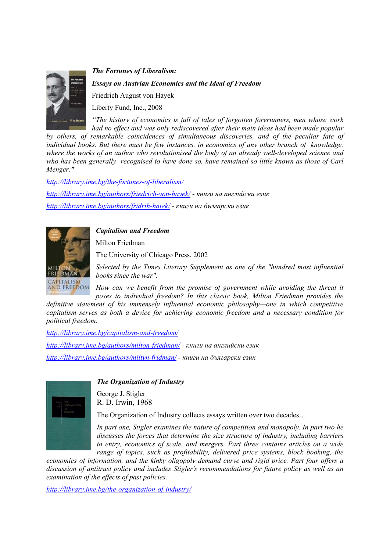

*The Fortunes of Liberalism: Essays on Austrian Economics and the Ideal of Freedom*  Friedrich August von Hayek Liberty Fund, Inc., 2008

*"The history of economics is full of tales of forgotten forerunners, men whose work had no effect and was only rediscovered after their main ideas had been made popular* 

*by others, of remarkable coincidences of simultaneous discoveries, and of the peculiar fate of individual books. But there must be few instances, in economics of any other branch of knowledge, where the works of an author who revolutionised the body of an already well-developed science and who has been generally recognised to have done so, have remained so little known as those of Carl Menger."* 

*http://library.ime.bg/the-fortunes-of-liberalism/ http://library.ime.bg/authors/friedrich-von-hayek/ - книги на английски език http://library.ime.bg/authors/fridrih-haiek/ - книги на български език*

*Capitalism and Freedom*

Milton Friedman

The University of Chicago Press, 2002

*Selected by the Times Literary Supplement as one of the "hundred most influential books since the war".* 

*How can we benefit from the promise of government while avoiding the threat it poses to individual freedom? In this classic book, Milton Friedman provides the* 

*definitive statement of his immensely influential economic philosophy—one in which competitive capitalism serves as both a device for achieving economic freedom and a necessary condition for political freedom.* 

*http://library.ime.bg/capitalism-and-freedom/*

*http://library.ime.bg/authors/milton-friedman/ - книги на английски език http://library.ime.bg/authors/miltyn-fridman/ - книги на български език*



CAPITALISM<br>AND FREEDOM

*The Organization of Industry* 

George J. Stigler R. D. Irwin, 1968

The Organization of Industry collects essays written over two decades…

*In part one, Stigler examines the nature of competition and monopoly. In part two he discusses the forces that determine the size structure of industry, including barriers to entry, economics of scale, and mergers. Part three contains articles on a wide range of topics, such as profitability, delivered price systems, block booking, the* 

*economics of information, and the kinky oligopoly demand curve and rigid price. Part four offers a discussion of antitrust policy and includes Stigler's recommendations for future policy as well as an examination of the effects of past policies.* 

*http://library.ime.bg/the-organization-of-industry/*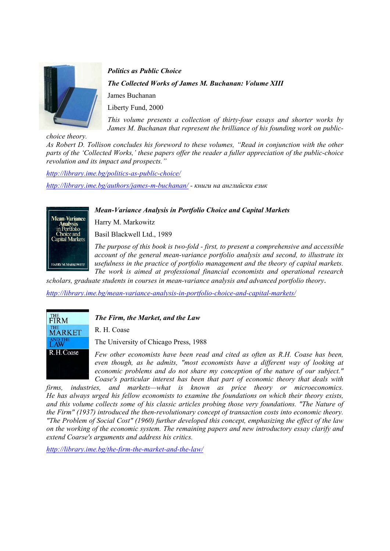

*Politics as Public Choice The Collected Works of James M. Buchanan: Volume XIII*  James Buchanan Liberty Fund, 2000

*This volume presents a collection of thirty-four essays and shorter works by James M. Buchanan that represent the brilliance of his founding work on public-*

*choice theory.* 

*As Robert D. Tollison concludes his foreword to these volumes, "Read in conjunction with the other parts of the 'Collected Works,' these papers offer the reader a fuller appreciation of the public-choice revolution and its impact and prospects."* 

*http://library.ime.bg/politics-as-public-choice/ http://library.ime.bg/authors/james-m-buchanan/ - книги на английски език*

## *Mean-Variance Analysis in Portfolio Choice and Capital Markets*



Harry M. Markowitz

Basil Blackwell Ltd., 1989

*The purpose of this book is two-fold - first, to present a comprehensive and accessible account of the general mean-variance portfolio analysis and second, to illustrate its usefulness in the practice of portfolio management and the theory of capital markets. The work is aimed at professional financial economists and operational research* 

*scholars, graduate students in courses in mean-variance analysis and advanced portfolio theory*.

*http://library.ime.bg/mean-variance-analysis-in-portfolio-choice-and-capital-markets/*



*The Firm, the Market, and the Law* 

R. H. Coase

The University of Chicago Press, 1988

*Few other economists have been read and cited as often as R.H. Coase has been, even though, as he admits, "most economists have a different way of looking at economic problems and do not share my conception of the nature of our subject." Coase's particular interest has been that part of economic theory that deals with* 

*firms, industries, and markets—what is known as price theory or microeconomics. He has always urged his fellow economists to examine the foundations on which their theory exists, and this volume collects some of his classic articles probing those very foundations. "The Nature of the Firm" (1937) introduced the then-revolutionary concept of transaction costs into economic theory. "The Problem of Social Cost" (1960) further developed this concept, emphasizing the effect of the law on the working of the economic system. The remaining papers and new introductory essay clarify and extend Coarse's arguments and address his critics.* 

*http://library.ime.bg/the-firm-the-market-and-the-law/*